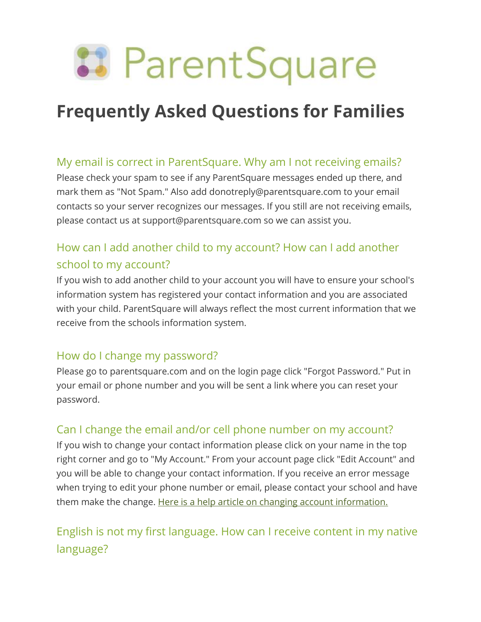

# **Frequently Asked Questions for Families**

## My email is correct in ParentSquare. Why am I not receiving emails?

Please check your spam to see if any ParentSquare messages ended up there, and mark them as "Not Spam." Also add donotreply@parentsquare.com to your email contacts so your server recognizes our messages. If you still are not receiving emails, please contact us at support@parentsquare.com so we can assist you.

# How can I add another child to my account? How can I add another school to my account?

If you wish to add another child to your account you will have to ensure your school's information system has registered your contact information and you are associated with your child. ParentSquare will always reflect the most current information that we receive from the schools information system.

## How do I change my password?

Please go to parentsquare.com and on the login page click "Forgot Password." Put in your email or phone number and you will be sent a link where you can reset your password.

#### Can I change the email and/or cell phone number on my account?

If you wish to change your contact information please click on your name in the top right corner and go to "My Account." From your account page click "Edit Account" and you will be able to change your contact information. If you receive an error message when trying to edit your phone number or email, please contact your school and have them make the change. [Here is a help article on changing account information.](https://parentsquare.zendesk.com/hc/en-us/articles/203390719-Change-4-account-settings-in-ParentSquare)

# English is not my first language. How can I receive content in my native language?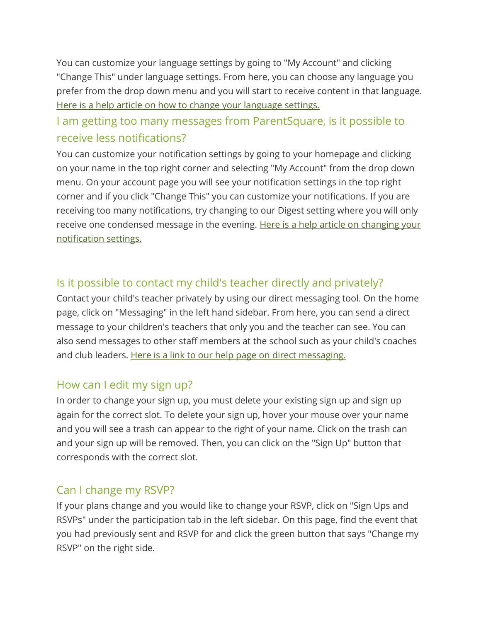You can customize your language settings by going to "My Account" and clicking "Change This" under language settings. From here, you can choose any language you prefer from the drop down menu and you will start to receive content in that language. [Here is a help article on how to change your language settings.](https://parentsquare.zendesk.com/hc/en-us/articles/217446746-Language-Setting)

## I am getting too many messages from ParentSquare, is it possible to receive less notifications?

You can customize your notification settings by going to your homepage and clicking on your name in the top right corner and selecting "My Account" from the drop down menu. On your account page you will see your notification settings in the top right corner and if you click "Change This" you can customize your notifications. If you are receiving too many notifications, try changing to our Digest setting where you will only receive one condensed message in the evening. Here is a help article on changing your [notification settings.](https://parentsquare.zendesk.com/hc/en-us/articles/217446726-Notification-Setting)

### Is it possible to contact my child's teacher directly and privately?

Contact your child's teacher privately by using our direct messaging tool. On the home page, click on "Messaging" in the left hand sidebar. From here, you can send a direct message to your children's teachers that only you and the teacher can see. You can also send messages to other staff members at the school such as your child's coaches and club leaders. [Here is a link to our help page on direct messaging.](https://parentsquare.zendesk.com/hc/en-us/articles/204215089-Send-a-private-or-group-message-)

#### How can I edit my sign up?

In order to change your sign up, you must delete your existing sign up and sign up again for the correct slot. To delete your sign up, hover your mouse over your name and you will see a trash can appear to the right of your name. Click on the trash can and your sign up will be removed. Then, you can click on the "Sign Up" button that corresponds with the correct slot.

#### Can I change my RSVP?

If your plans change and you would like to change your RSVP, click on "Sign Ups and RSVPs" under the participation tab in the left sidebar. On this page, find the event that you had previously sent and RSVP for and click the green button that says "Change my RSVP" on the right side.